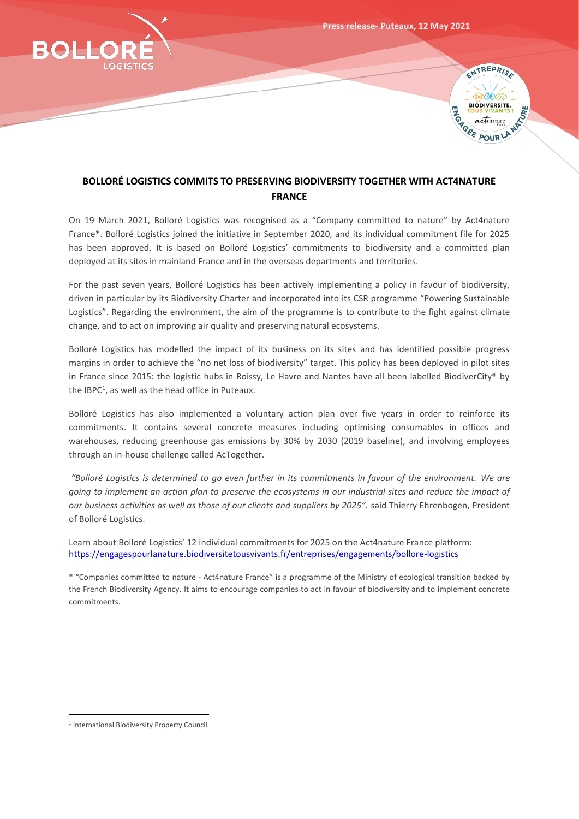

## **BOLLORÉ LOGISTICS COMMITS TO PRESERVING BIODIVERSITY TOGETHER WITH ACT4NATURE FRANCE**

On 19 March 2021, Bolloré Logistics was recognised as a "Company committed to nature" by Act4nature France\*. Bolloré Logistics joined the initiative in September 2020, and its individual commitment file for 2025 has been approved. It is based on Bolloré Logistics' commitments to biodiversity and a committed plan deployed at its sites in mainland France and in the overseas departments and territories.

For the past seven years, Bolloré Logistics has been actively implementing a policy in favour of biodiversity, driven in particular by its Biodiversity Charter and incorporated into its CSR programme "Powering Sustainable Logistics". Regarding the environment, the aim of the programme is to contribute to the fight against climate change, and to act on improving air quality and preserving natural ecosystems.

Bolloré Logistics has modelled the impact of its business on its sites and has identified possible progress margins in order to achieve the "no net loss of biodiversity" target. This policy has been deployed in pilot sites in France since 2015: the logistic hubs in Roissy, Le Havre and Nantes have all been labelled BiodiverCity® by the IBPC<sup>1</sup>, as well as the head office in Puteaux.

Bolloré Logistics has also implemented a voluntary action plan over five years in order to reinforce its commitments. It contains several concrete measures including optimising consumables in offices and warehouses, reducing greenhouse gas emissions by 30% by 2030 (2019 baseline), and involving employees through an in-house challenge called AcTogether.

*"Bolloré Logistics is determined to go even further in its commitments in favour of the environment. We are going to implement an action plan to preserve the ecosystems in our industrial sites and reduce the impact of our business activities as well as those of our clients and suppliers by 2025".* said Thierry Ehrenbogen, President of Bolloré Logistics.

Learn about Bolloré Logistics' 12 individual commitments for 2025 on the Act4nature France platform: <https://engagespourlanature.biodiversitetousvivants.fr/entreprises/engagements/bollore-logistics>

\* "Companies committed to nature - Act4nature France" is a programme of the Ministry of ecological transition backed by the French Biodiversity Agency. It aims to encourage companies to act in favour of biodiversity and to implement concrete commitments.

<sup>1</sup> International Biodiversity Property Council